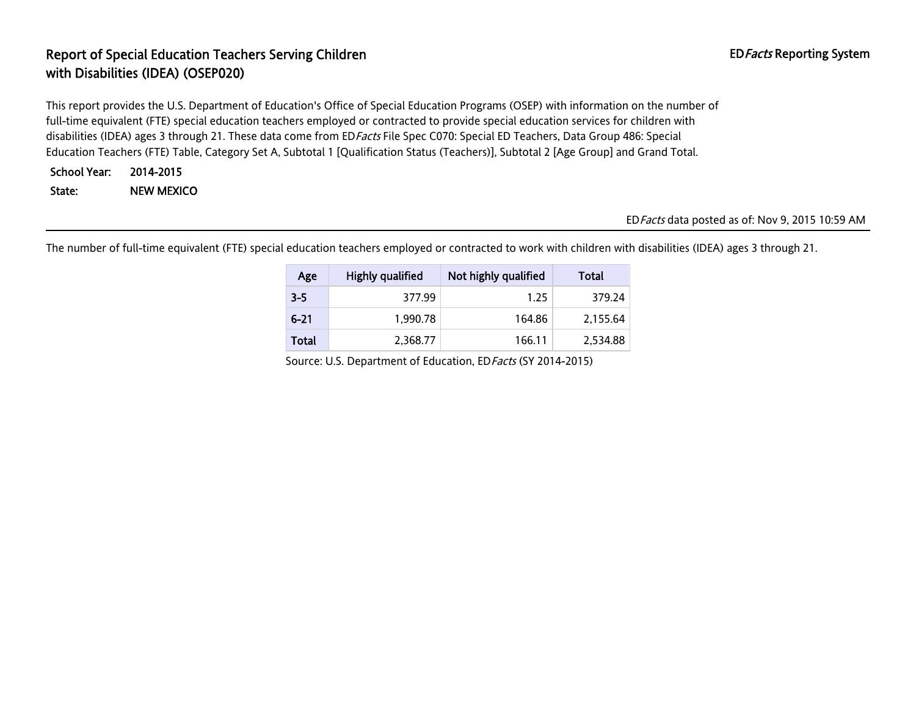# Report of Special Education Teachers Serving Children EDFacts Reporting System with Disabilities (IDEA) (OSEP020)

This report provides the U.S. Department of Education's Office of Special Education Programs (OSEP) with information on the number of full-time equivalent (FTE) special education teachers employed or contracted to provide special education services for children with disabilities (IDEA) ages 3 through 21. These data come from ED Facts File Spec C070: Special ED Teachers, Data Group 486: Special Education Teachers (FTE) Table, Category Set A, Subtotal 1 [Qualification Status (Teachers)], Subtotal 2 [Age Group] and Grand Total.

```
School Year: 2014-2015
```
State: NEW MEXICO

#### EDFacts data posted as of: Nov 9, 2015 10:59 AM

The number of full-time equivalent (FTE) special education teachers employed or contracted to work with children with disabilities (IDEA) ages 3 through 21.

| Age      | Highly qualified | Not highly qualified | Total    |
|----------|------------------|----------------------|----------|
| $3 - 5$  | 377.99           | 1.25                 | 379.24   |
| $6 - 21$ | 1.990.78         | 164.86               | 2,155.64 |
| Total    | 2.368.77         | 166.11               | 2,534.88 |

Source: U.S. Department of Education, EDFacts (SY 2014-2015)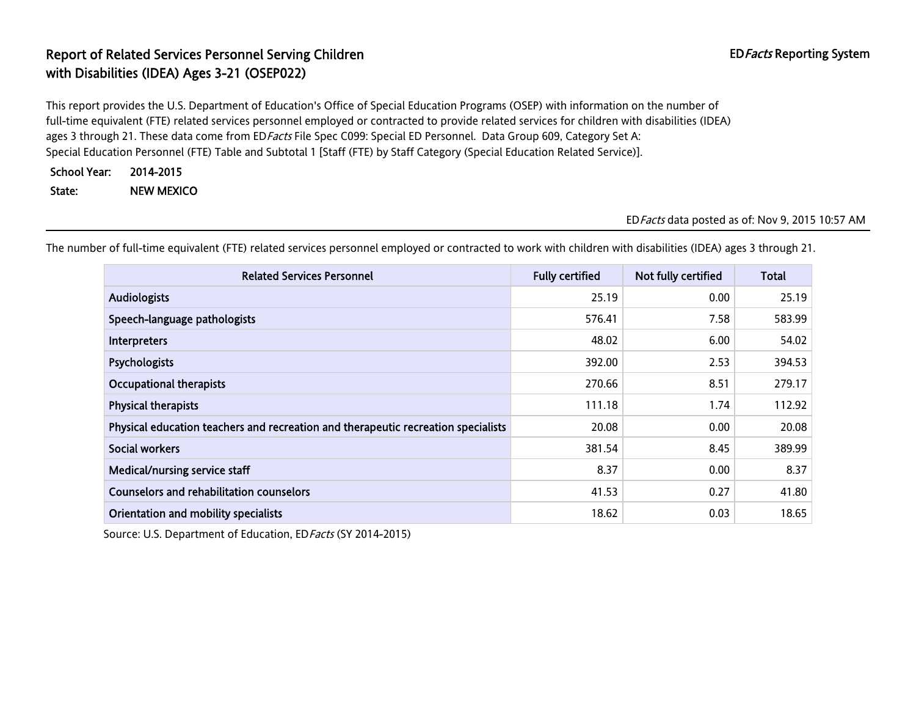# Report of Related Services Personnel Serving Children EDFacts Reporting System with Disabilities (IDEA) Ages 3-21 (OSEP022)

This report provides the U.S. Department of Education's Office of Special Education Programs (OSEP) with information on the number of full-time equivalent (FTE) related services personnel employed or contracted to provide related services for children with disabilities (IDEA) ages 3 through 21. These data come from ED Facts File Spec C099: Special ED Personnel. Data Group 609, Category Set A: Special Education Personnel (FTE) Table and Subtotal 1 [Staff (FTE) by Staff Category (Special Education Related Service)].

| <b>School Year:</b> | 2014-2015         |
|---------------------|-------------------|
| State:              | <b>NEW MEXICO</b> |

#### EDFacts data posted as of: Nov 9, 2015 10:57 AM

Related Services Personnel **Fully certified** Not fully certified Total Audiologists 25.19 0.00 25.19 Speech-language pathologists 683.99 (1992) 1996 (1998) 1997 (1998) 1998 (1998) 1998 (1998) 1998 (1998) 1998 (1998) 1998 (1998) 1999 (1998) 1999 (1998) 1999 (1998) 1999 (1998) 1999 (1998) 1999 (1998) 1999 (1998) 1999 (1998)  $\blacksquare$ Interpreters  $6.00$  54.02  $\blacksquare$ Psychologists 392.00 2.53 394.53 Occupational therapists 279.17 279.17 279.17 279.17 279.17 279.17 279.17 279.17 279.17 **Physical therapists** 112.92 Physical education teachers and recreation and therapeutic recreation specialists 20.08 20.08 20.08 0.00 20.08  $\bf 381.54$   $\bf 8.45$   $\bf 389.99$ Medical/nursing service staff and the state of the state of the state of the state of the state of the state of the state of the state of the state of the state of the state of the state of the state of the state of the st Counselors and rehabilitation counselors 41.53 0.27 41.80 Orientation and mobility specialists and the contract of the contract of the contract of the contract of the contract of the contract of the contract of the contract of the contract of the contract of the contract of the c

The number of full-time equivalent (FTE) related services personnel employed or contracted to work with children with disabilities (IDEA) ages 3 through 21.

Source: U.S. Department of Education, ED Facts (SY 2014-2015)